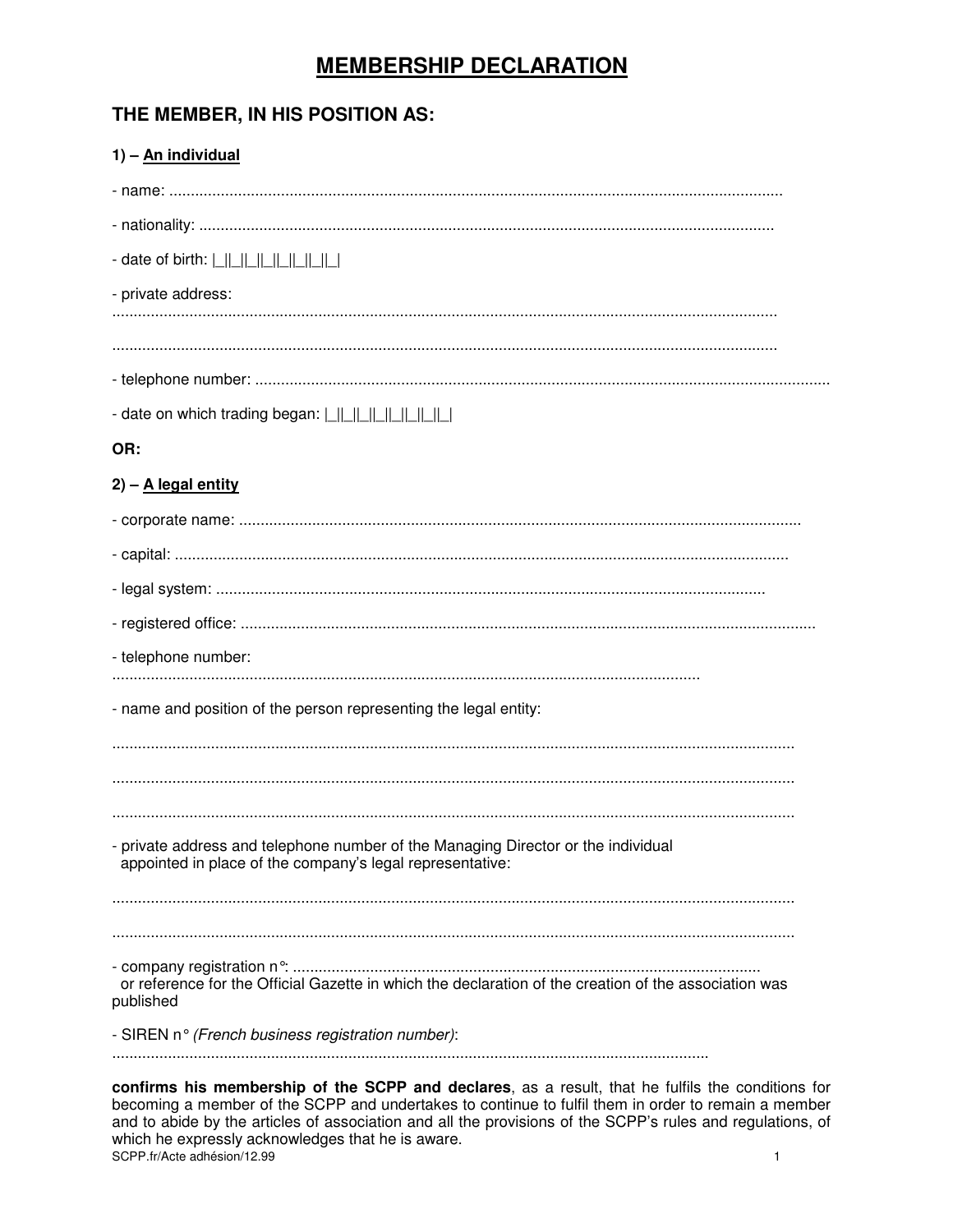# **MEMBERSHIP DECLARATION**

# THE MEMBER, IN HIS POSITION AS:

| 1) - An individual                                                                                                                             |
|------------------------------------------------------------------------------------------------------------------------------------------------|
|                                                                                                                                                |
|                                                                                                                                                |
| - date of birth:                                                                                                                               |
| - private address:                                                                                                                             |
|                                                                                                                                                |
|                                                                                                                                                |
|                                                                                                                                                |
| - date on which trading began: $\lfloor    \rfloor    \rfloor    \lfloor    \rfloor    \lfloor    \rfloor    \rfloor$                          |
| OR:                                                                                                                                            |
| $2) - A$ legal entity                                                                                                                          |
|                                                                                                                                                |
|                                                                                                                                                |
|                                                                                                                                                |
|                                                                                                                                                |
| - telephone number:                                                                                                                            |
|                                                                                                                                                |
| - name and position of the person representing the legal entity:                                                                               |
|                                                                                                                                                |
|                                                                                                                                                |
|                                                                                                                                                |
| - private address and telephone number of the Managing Director or the individual<br>appointed in place of the company's legal representative: |
|                                                                                                                                                |
| or reference for the Official Gazette in which the declaration of the creation of the association was                                          |
| published                                                                                                                                      |
| - SIREN n° (French business registration number):                                                                                              |
| confirme his mambership of the SCDD and declares as a result that he fulfile the conditions for                                                |

confirms his membership of the SCPP and declares, as a result, that he fulfils the conditions for becoming a member of the SCPP and undertakes to continue to fulfil them in order to remain a member and to abide by the articles of association and all the provisions of the SCPP's rules and regulations, of which he expressly acknowledges that he is aware. SCPP.fr/Acte adhésion/12.99  $\mathbf{1}$